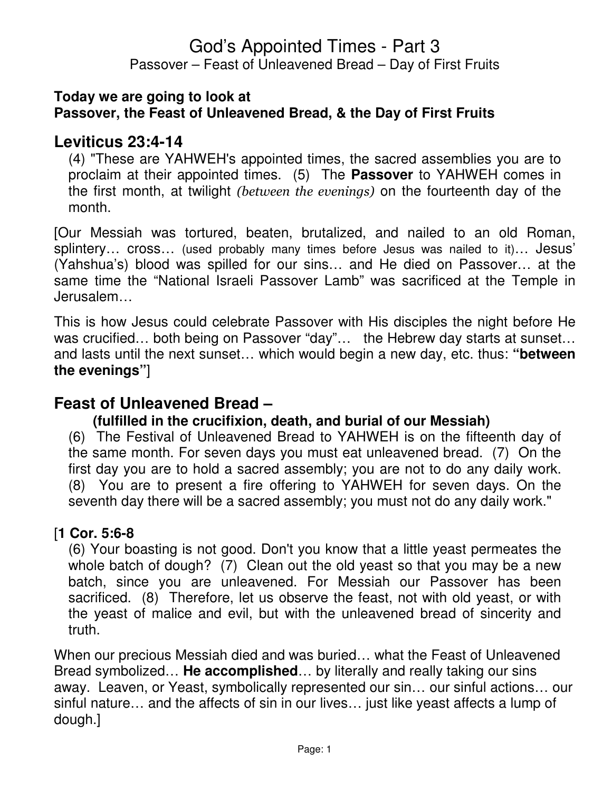#### **Today we are going to look at Passover, the Feast of Unleavened Bread, & the Day of First Fruits**

## **Leviticus 23:4-14**

(4) "These are YAHWEH's appointed times, the sacred assemblies you are to proclaim at their appointed times. (5) The **Passover** to YAHWEH comes in the first month, at twilight (between the evenings) on the fourteenth day of the month.

[Our Messiah was tortured, beaten, brutalized, and nailed to an old Roman, splintery... cross... (used probably many times before Jesus was nailed to it)... Jesus' (Yahshua's) blood was spilled for our sins… and He died on Passover… at the same time the "National Israeli Passover Lamb" was sacrificed at the Temple in Jerusalem…

This is how Jesus could celebrate Passover with His disciples the night before He was crucified... both being on Passover "day"... the Hebrew day starts at sunset... and lasts until the next sunset… which would begin a new day, etc. thus: **"between the evenings"**]

# **Feast of Unleavened Bread –**

### **(fulfilled in the crucifixion, death, and burial of our Messiah)**

(6) The Festival of Unleavened Bread to YAHWEH is on the fifteenth day of the same month. For seven days you must eat unleavened bread. (7) On the first day you are to hold a sacred assembly; you are not to do any daily work. (8) You are to present a fire offering to YAHWEH for seven days. On the seventh day there will be a sacred assembly; you must not do any daily work."

### [**1 Cor. 5:6-8**

(6) Your boasting is not good. Don't you know that a little yeast permeates the whole batch of dough? (7) Clean out the old yeast so that you may be a new batch, since you are unleavened. For Messiah our Passover has been sacrificed. (8) Therefore, let us observe the feast, not with old yeast, or with the yeast of malice and evil, but with the unleavened bread of sincerity and truth.

When our precious Messiah died and was buried… what the Feast of Unleavened Bread symbolized… **He accomplished**… by literally and really taking our sins away. Leaven, or Yeast, symbolically represented our sin… our sinful actions… our sinful nature… and the affects of sin in our lives… just like yeast affects a lump of dough.]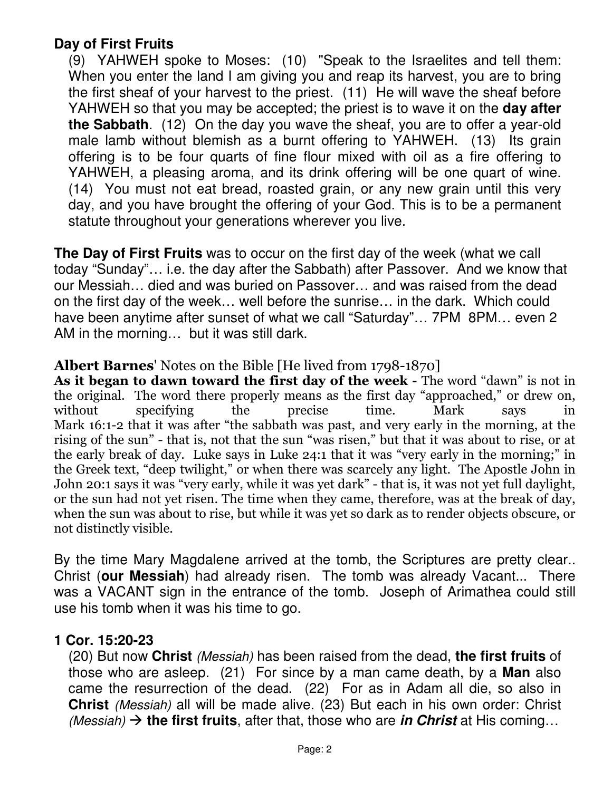## **Day of First Fruits**

(9) YAHWEH spoke to Moses: (10) "Speak to the Israelites and tell them: When you enter the land I am giving you and reap its harvest, you are to bring the first sheaf of your harvest to the priest. (11) He will wave the sheaf before YAHWEH so that you may be accepted; the priest is to wave it on the **day after the Sabbath**. (12) On the day you wave the sheaf, you are to offer a year-old male lamb without blemish as a burnt offering to YAHWEH. (13) Its grain offering is to be four quarts of fine flour mixed with oil as a fire offering to YAHWEH, a pleasing aroma, and its drink offering will be one quart of wine. (14) You must not eat bread, roasted grain, or any new grain until this very day, and you have brought the offering of your God. This is to be a permanent statute throughout your generations wherever you live.

**The Day of First Fruits** was to occur on the first day of the week (what we call today "Sunday"… i.e. the day after the Sabbath) after Passover. And we know that our Messiah… died and was buried on Passover… and was raised from the dead on the first day of the week… well before the sunrise… in the dark. Which could have been anytime after sunset of what we call "Saturday"… 7PM 8PM… even 2 AM in the morning… but it was still dark.

#### Albert Barnes' Notes on the Bible [He lived from 1798-1870]

As it began to dawn toward the first day of the week - The word "dawn" is not in the original. The word there properly means as the first day "approached," or drew on, without specifying the precise time. Mark says in Mark 16:1-2 that it was after "the sabbath was past, and very early in the morning, at the rising of the sun" - that is, not that the sun "was risen," but that it was about to rise, or at the early break of day. Luke says in Luke 24:1 that it was "very early in the morning;" in the Greek text, "deep twilight," or when there was scarcely any light. The Apostle John in John 20:1 says it was "very early, while it was yet dark" - that is, it was not yet full daylight, or the sun had not yet risen. The time when they came, therefore, was at the break of day, when the sun was about to rise, but while it was yet so dark as to render objects obscure, or not distinctly visible.

By the time Mary Magdalene arrived at the tomb, the Scriptures are pretty clear.. Christ (**our Messiah**) had already risen. The tomb was already Vacant... There was a VACANT sign in the entrance of the tomb. Joseph of Arimathea could still use his tomb when it was his time to go.

#### **1 Cor. 15:20-23**

(20) But now **Christ** (Messiah) has been raised from the dead, **the first fruits** of those who are asleep. (21) For since by a man came death, by a **Man** also came the resurrection of the dead. (22) For as in Adam all die, so also in **Christ** (Messiah) all will be made alive. (23) But each in his own order: Christ (*Messiah*)  $\rightarrow$  the first fruits, after that, those who are *in Christ* at His coming...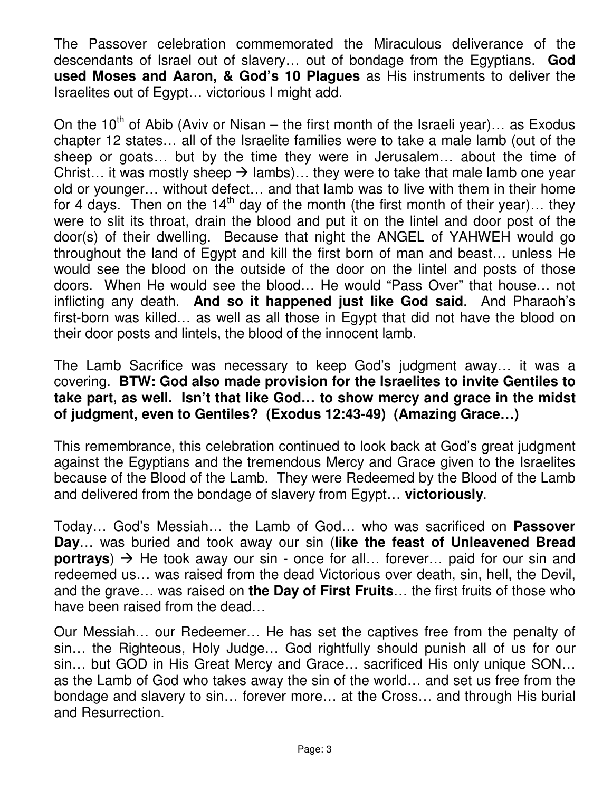The Passover celebration commemorated the Miraculous deliverance of the descendants of Israel out of slavery… out of bondage from the Egyptians. **God used Moses and Aaron, & God's 10 Plagues** as His instruments to deliver the Israelites out of Egypt… victorious I might add.

On the 10<sup>th</sup> of Abib (Aviv or Nisan – the first month of the Israeli year)... as Exodus chapter 12 states… all of the Israelite families were to take a male lamb (out of the sheep or goats… but by the time they were in Jerusalem… about the time of Christ... it was mostly sheep  $\rightarrow$  lambs)... they were to take that male lamb one year old or younger… without defect… and that lamb was to live with them in their home for 4 days. Then on the  $14<sup>th</sup>$  day of the month (the first month of their year)... they were to slit its throat, drain the blood and put it on the lintel and door post of the door(s) of their dwelling. Because that night the ANGEL of YAHWEH would go throughout the land of Egypt and kill the first born of man and beast… unless He would see the blood on the outside of the door on the lintel and posts of those doors. When He would see the blood… He would "Pass Over" that house… not inflicting any death. **And so it happened just like God said**. And Pharaoh's first-born was killed… as well as all those in Egypt that did not have the blood on their door posts and lintels, the blood of the innocent lamb.

The Lamb Sacrifice was necessary to keep God's judgment away… it was a covering. **BTW: God also made provision for the Israelites to invite Gentiles to take part, as well. Isn't that like God… to show mercy and grace in the midst of judgment, even to Gentiles? (Exodus 12:43-49) (Amazing Grace…)** 

This remembrance, this celebration continued to look back at God's great judgment against the Egyptians and the tremendous Mercy and Grace given to the Israelites because of the Blood of the Lamb. They were Redeemed by the Blood of the Lamb and delivered from the bondage of slavery from Egypt… **victoriously**.

Today… God's Messiah… the Lamb of God… who was sacrificed on **Passover Day**… was buried and took away our sin (**like the feast of Unleavened Bread portrays**)  $\rightarrow$  He took away our sin - once for all... forever... paid for our sin and redeemed us… was raised from the dead Victorious over death, sin, hell, the Devil, and the grave… was raised on **the Day of First Fruits**… the first fruits of those who have been raised from the dead…

Our Messiah… our Redeemer… He has set the captives free from the penalty of sin… the Righteous, Holy Judge… God rightfully should punish all of us for our sin… but GOD in His Great Mercy and Grace… sacrificed His only unique SON… as the Lamb of God who takes away the sin of the world… and set us free from the bondage and slavery to sin… forever more… at the Cross… and through His burial and Resurrection.